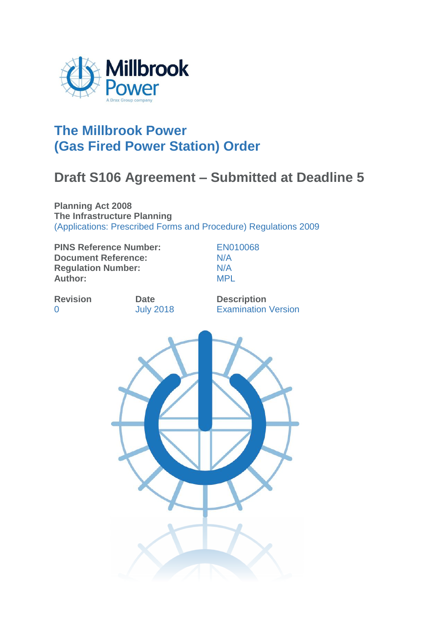

# **The Millbrook Power (Gas Fired Power Station) Order**

# **Draft S106 Agreement – Submitted at Deadline 5**

**Planning Act 2008 The Infrastructure Planning**  (Applications: Prescribed Forms and Procedure) Regulations 2009

**PINS Reference Number:** EN010068 **Document Reference:** N/A **Regulation Number:** N/A<br> **Author:** MPL Author:

**Revision Date Description** 0 **July 2018** Examination Version

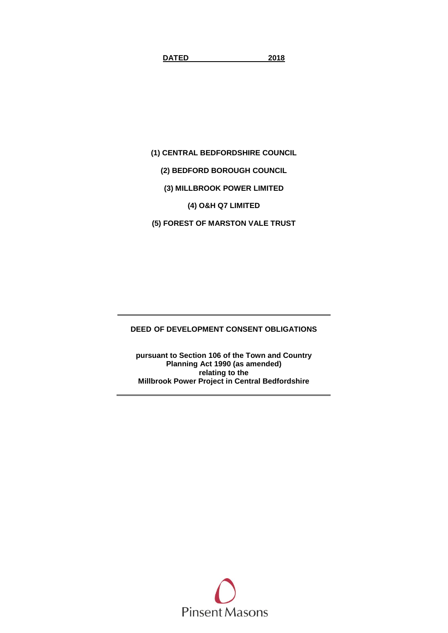**DATED 2018**

**(1) CENTRAL BEDFORDSHIRE COUNCIL**

**(2) BEDFORD BOROUGH COUNCIL**

**(3) MILLBROOK POWER LIMITED**

**(4) O&H Q7 LIMITED**

**(5) FOREST OF MARSTON VALE TRUST**

**DEED OF DEVELOPMENT CONSENT OBLIGATIONS**

**pursuant to Section 106 of the Town and Country Planning Act 1990 (as amended) relating to the Millbrook Power Project in Central Bedfordshire**

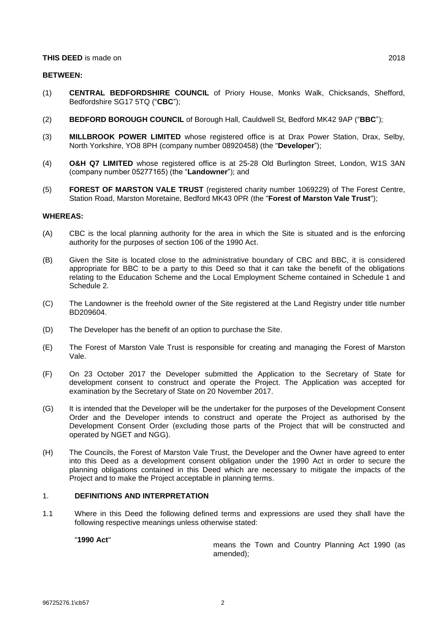#### **THIS DEED** is made on 2018

#### **BETWEEN:**

- (1) **CENTRAL BEDFORDSHIRE COUNCIL** of Priory House, Monks Walk, Chicksands, Shefford, Bedfordshire SG17 5TQ ("**CBC**");
- (2) **BEDFORD BOROUGH COUNCIL** of Borough Hall, Cauldwell St, Bedford MK42 9AP ("**BBC**");
- (3) **MILLBROOK POWER LIMITED** whose registered office is at Drax Power Station, Drax, Selby, North Yorkshire, YO8 8PH (company number 08920458) (the "**Developer**");
- (4) **O&H Q7 LIMITED** whose registered office is at 25-28 Old Burlington Street, London, W1S 3AN (company number 05277165) (the "**Landowner**"); and
- (5) **FOREST OF MARSTON VALE TRUST** (registered charity number 1069229) of The Forest Centre, Station Road, Marston Moretaine, Bedford MK43 0PR (the "**Forest of Marston Vale Trust**");

#### **WHEREAS:**

- (A) CBC is the local planning authority for the area in which the Site is situated and is the enforcing authority for the purposes of section 106 of the 1990 Act.
- (B) Given the Site is located close to the administrative boundary of CBC and BBC, it is considered appropriate for BBC to be a party to this Deed so that it can take the benefit of the obligations relating to the Education Scheme and the Local Employment Scheme contained in [Schedule](#page-14-0) 1 and [Schedule](#page-15-0) 2.
- (C) The Landowner is the freehold owner of the Site registered at the Land Registry under title number BD209604.
- (D) The Developer has the benefit of an option to purchase the Site.
- (E) The Forest of Marston Vale Trust is responsible for creating and managing the Forest of Marston Vale.
- (F) On 23 October 2017 the Developer submitted the Application to the Secretary of State for development consent to construct and operate the Project. The Application was accepted for examination by the Secretary of State on 20 November 2017.
- (G) It is intended that the Developer will be the undertaker for the purposes of the Development Consent Order and the Developer intends to construct and operate the Project as authorised by the Development Consent Order (excluding those parts of the Project that will be constructed and operated by NGET and NGG).
- (H) The Councils, the Forest of Marston Vale Trust, the Developer and the Owner have agreed to enter into this Deed as a development consent obligation under the 1990 Act in order to secure the planning obligations contained in this Deed which are necessary to mitigate the impacts of the Project and to make the Project acceptable in planning terms.

#### <span id="page-3-0"></span>1. **DEFINITIONS AND INTERPRETATION**

1.1 Where in this Deed the following defined terms and expressions are used they shall have the following respective meanings unless otherwise stated:

#### "**1990 Act**"

means the Town and Country Planning Act 1990 (as amended);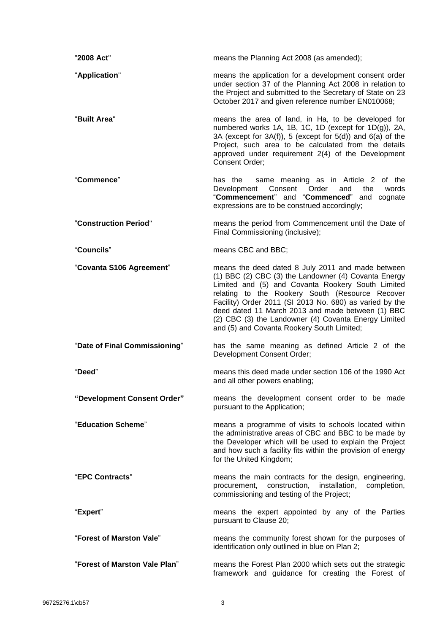| "2008 Act"                    | means the Planning Act 2008 (as amended);                                                                                                                                                                                                                                                                                                                                                                                               |
|-------------------------------|-----------------------------------------------------------------------------------------------------------------------------------------------------------------------------------------------------------------------------------------------------------------------------------------------------------------------------------------------------------------------------------------------------------------------------------------|
| "Application"                 | means the application for a development consent order<br>under section 37 of the Planning Act 2008 in relation to<br>the Project and submitted to the Secretary of State on 23<br>October 2017 and given reference number EN010068;                                                                                                                                                                                                     |
| "Built Area"                  | means the area of land, in Ha, to be developed for<br>numbered works 1A, 1B, 1C, 1D (except for 1D(g)), 2A,<br>3A (except for $3A(f)$ ), 5 (except for $5(d)$ ) and $6(a)$ of the<br>Project, such area to be calculated from the details<br>approved under requirement 2(4) of the Development<br>Consent Order;                                                                                                                       |
| "Commence"                    | same meaning as in Article 2 of the<br>has the<br>Development<br>Consent<br>Order<br>and<br>the<br>words<br>"Commencement" and "Commenced" and cognate<br>expressions are to be construed accordingly;                                                                                                                                                                                                                                  |
| "Construction Period"         | means the period from Commencement until the Date of<br>Final Commissioning (inclusive);                                                                                                                                                                                                                                                                                                                                                |
| "Councils"                    | means CBC and BBC;                                                                                                                                                                                                                                                                                                                                                                                                                      |
| "Covanta S106 Agreement"      | means the deed dated 8 July 2011 and made between<br>(1) BBC (2) CBC (3) the Landowner (4) Covanta Energy<br>Limited and (5) and Covanta Rookery South Limited<br>relating to the Rookery South (Resource Recover<br>Facility) Order 2011 (SI 2013 No. 680) as varied by the<br>deed dated 11 March 2013 and made between (1) BBC<br>(2) CBC (3) the Landowner (4) Covanta Energy Limited<br>and (5) and Covanta Rookery South Limited; |
| "Date of Final Commissioning" | has the same meaning as defined Article 2 of the<br>Development Consent Order;                                                                                                                                                                                                                                                                                                                                                          |
| "Deed"                        | means this deed made under section 106 of the 1990 Act<br>and all other powers enabling;                                                                                                                                                                                                                                                                                                                                                |
| "Development Consent Order"   | means the development consent order to be made<br>pursuant to the Application;                                                                                                                                                                                                                                                                                                                                                          |
| "Education Scheme"            | means a programme of visits to schools located within<br>the administrative areas of CBC and BBC to be made by<br>the Developer which will be used to explain the Project<br>and how such a facility fits within the provision of energy<br>for the United Kingdom;                                                                                                                                                                     |
| "EPC Contracts"               | means the main contracts for the design, engineering,<br>procurement, construction,<br>installation,<br>completion,<br>commissioning and testing of the Project;                                                                                                                                                                                                                                                                        |
| "Expert"                      | means the expert appointed by any of the Parties<br>pursuant to Clause 20;                                                                                                                                                                                                                                                                                                                                                              |
| "Forest of Marston Vale"      | means the community forest shown for the purposes of<br>identification only outlined in blue on Plan 2;                                                                                                                                                                                                                                                                                                                                 |
| "Forest of Marston Vale Plan" | means the Forest Plan 2000 which sets out the strategic<br>framework and guidance for creating the Forest of                                                                                                                                                                                                                                                                                                                            |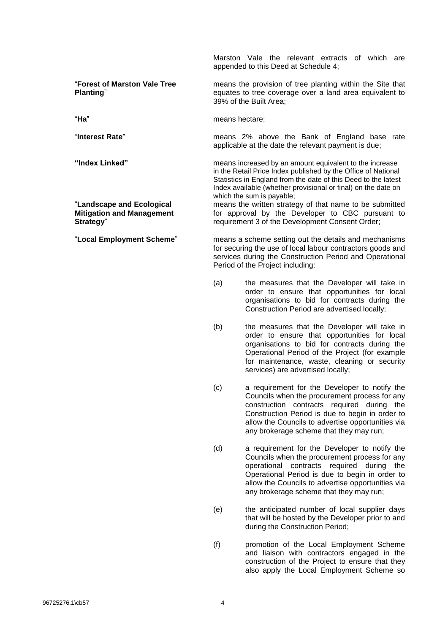Marston Vale the relevant extracts of which are appended to this Deed at [Schedule](#page-18-0) 4;

"**Forest of Marston Vale Tree Planting**"

"**Landscape and Ecological Mitigation and Management Strategy**"

means the provision of tree planting within the Site that equates to tree coverage over a land area equivalent to 39% of the Built Area;

"**Ha**" means hectare;

"**Interest Rate**" means 2% above the Bank of England base rate applicable at the date the relevant payment is due;

**"Index Linked"** means increased by an amount equivalent to the increase in the Retail Price Index published by the Office of National Statistics in England from the date of this Deed to the latest Index available (whether provisional or final) on the date on which the sum is payable;

> means the written strategy of that name to be submitted for approval by the Developer to CBC pursuant to requirement 3 of the Development Consent Order;

"**Local Employment Scheme**" means a scheme setting out the details and mechanisms for securing the use of local labour contractors goods and services during the Construction Period and Operational Period of the Project including:

- (a) the measures that the Developer will take in order to ensure that opportunities for local organisations to bid for contracts during the Construction Period are advertised locally;
- (b) the measures that the Developer will take in order to ensure that opportunities for local organisations to bid for contracts during the Operational Period of the Project (for example for maintenance, waste, cleaning or security services) are advertised locally;
- (c) a requirement for the Developer to notify the Councils when the procurement process for any construction contracts required during the Construction Period is due to begin in order to allow the Councils to advertise opportunities via any brokerage scheme that they may run;
- (d) a requirement for the Developer to notify the Councils when the procurement process for any operational contracts required during the Operational Period is due to begin in order to allow the Councils to advertise opportunities via any brokerage scheme that they may run;
- (e) the anticipated number of local supplier days that will be hosted by the Developer prior to and during the Construction Period;
- (f) promotion of the Local Employment Scheme and liaison with contractors engaged in the construction of the Project to ensure that they also apply the Local Employment Scheme so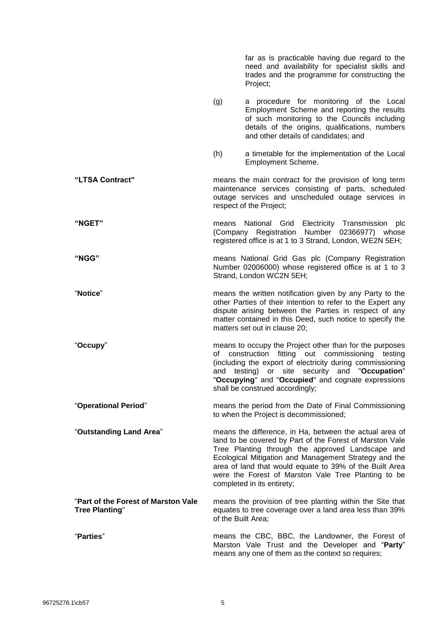|                                                              |       | far as is practicable having due regard to the<br>need and availability for specialist skills and<br>trades and the programme for constructing the<br>Project;                                                                                                                                                                                                                   |
|--------------------------------------------------------------|-------|----------------------------------------------------------------------------------------------------------------------------------------------------------------------------------------------------------------------------------------------------------------------------------------------------------------------------------------------------------------------------------|
|                                                              | (g)   | a procedure for monitoring of the Local<br>Employment Scheme and reporting the results<br>of such monitoring to the Councils including<br>details of the origins, qualifications, numbers<br>and other details of candidates; and                                                                                                                                                |
|                                                              | (h)   | a timetable for the implementation of the Local<br>Employment Scheme.                                                                                                                                                                                                                                                                                                            |
| "LTSA Contract"                                              |       | means the main contract for the provision of long term<br>maintenance services consisting of parts, scheduled<br>outage services and unscheduled outage services in<br>respect of the Project;                                                                                                                                                                                   |
| "NGET"                                                       | means | National Grid Electricity Transmission plc<br>(Company Registration Number 02366977) whose<br>registered office is at 1 to 3 Strand, London, WE2N 5EH;                                                                                                                                                                                                                           |
| <b>"NGG"</b>                                                 |       | means National Grid Gas plc (Company Registration<br>Number 02006000) whose registered office is at 1 to 3<br>Strand, London WC2N 5EH;                                                                                                                                                                                                                                           |
| "Notice"                                                     |       | means the written notification given by any Party to the<br>other Parties of their intention to refer to the Expert any<br>dispute arising between the Parties in respect of any<br>matter contained in this Deed, such notice to specify the<br>matters set out in clause 20;                                                                                                   |
| "Occupy"                                                     | οf    | means to occupy the Project other than for the purposes<br>construction fitting out commissioning testing<br>(including the export of electricity during commissioning<br>and testing) or site security and "Occupation"<br>"Occupying" and "Occupied" and cognate expressions<br>shall be construed accordingly;                                                                |
| "Operational Period"                                         |       | means the period from the Date of Final Commissioning<br>to when the Project is decommissioned;                                                                                                                                                                                                                                                                                  |
| "Outstanding Land Area"                                      |       | means the difference, in Ha, between the actual area of<br>land to be covered by Part of the Forest of Marston Vale<br>Tree Planting through the approved Landscape and<br>Ecological Mitigation and Management Strategy and the<br>area of land that would equate to 39% of the Built Area<br>were the Forest of Marston Vale Tree Planting to be<br>completed in its entirety; |
| "Part of the Forest of Marston Vale<br><b>Tree Planting"</b> |       | means the provision of tree planting within the Site that<br>equates to tree coverage over a land area less than 39%<br>of the Built Area;                                                                                                                                                                                                                                       |
| "Parties"                                                    |       | means the CBC, BBC, the Landowner, the Forest of<br>Marston Vale Trust and the Developer and "Party"<br>means any one of them as the context so requires;                                                                                                                                                                                                                        |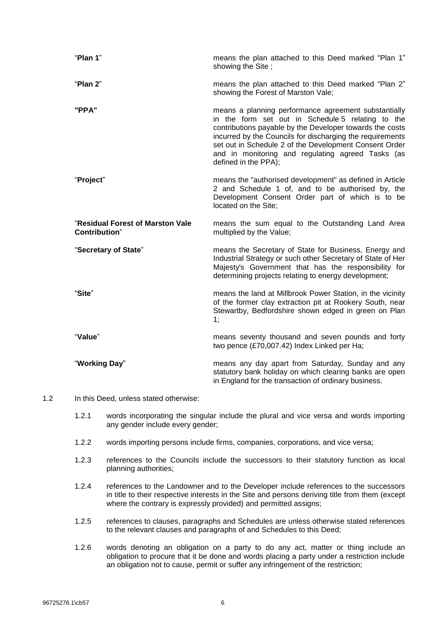| "Plan 1"                                                  | means the plan attached to this Deed marked "Plan 1"<br>showing the Site;                                                                                                                                                                                                                                                                                                 |
|-----------------------------------------------------------|---------------------------------------------------------------------------------------------------------------------------------------------------------------------------------------------------------------------------------------------------------------------------------------------------------------------------------------------------------------------------|
| "Plan 2"                                                  | means the plan attached to this Deed marked "Plan 2"<br>showing the Forest of Marston Vale;                                                                                                                                                                                                                                                                               |
| "PPA"                                                     | means a planning performance agreement substantially<br>in the form set out in Schedule 5 relating to the<br>contributions payable by the Developer towards the costs<br>incurred by the Councils for discharging the requirements<br>set out in Schedule 2 of the Development Consent Order<br>and in monitoring and regulating agreed Tasks (as<br>defined in the PPA); |
| "Project"                                                 | means the "authorised development" as defined in Article<br>2 and Schedule 1 of, and to be authorised by, the<br>Development Consent Order part of which is to be<br>located on the Site;                                                                                                                                                                                 |
| "Residual Forest of Marston Vale<br><b>Contribution</b> " | means the sum equal to the Outstanding Land Area<br>multiplied by the Value;                                                                                                                                                                                                                                                                                              |
| "Secretary of State"                                      | means the Secretary of State for Business, Energy and<br>Industrial Strategy or such other Secretary of State of Her<br>Majesty's Government that has the responsibility for<br>determining projects relating to energy development;                                                                                                                                      |
| "Site"                                                    | means the land at Millbrook Power Station, in the vicinity<br>of the former clay extraction pit at Rookery South, near<br>Stewartby, Bedfordshire shown edged in green on Plan<br>1;                                                                                                                                                                                      |
| "Value"                                                   | means seventy thousand and seven pounds and forty<br>two pence (£70,007.42) Index Linked per Ha;                                                                                                                                                                                                                                                                          |
| "Working Day"                                             | means any day apart from Saturday, Sunday and any<br>statutory bank holiday on which clearing banks are open<br>in England for the transaction of ordinary business.                                                                                                                                                                                                      |
| In this Dead unless stated athorities:                    |                                                                                                                                                                                                                                                                                                                                                                           |

- 1.2 In this Deed, unless stated otherwise:
	- 1.2.1 words incorporating the singular include the plural and vice versa and words importing any gender include every gender;
	- 1.2.2 words importing persons include firms, companies, corporations, and vice versa;
	- 1.2.3 references to the Councils include the successors to their statutory function as local planning authorities;
	- 1.2.4 references to the Landowner and to the Developer include references to the successors in title to their respective interests in the Site and persons deriving title from them (except where the contrary is expressly provided) and permitted assigns;
	- 1.2.5 references to clauses, paragraphs and Schedules are unless otherwise stated references to the relevant clauses and paragraphs of and Schedules to this Deed;
	- 1.2.6 words denoting an obligation on a party to do any act, matter or thing include an obligation to procure that it be done and words placing a party under a restriction include an obligation not to cause, permit or suffer any infringement of the restriction;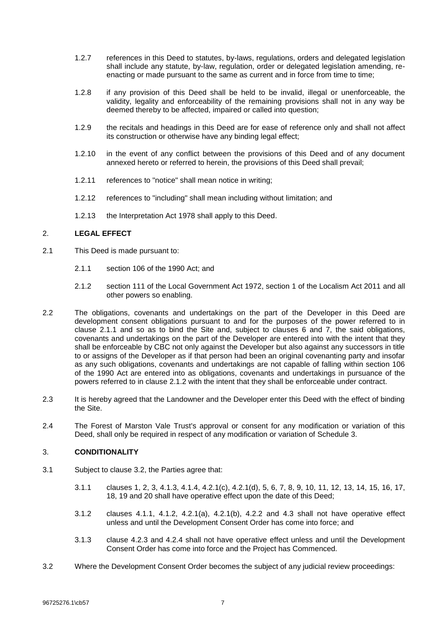- 1.2.7 references in this Deed to statutes, by-laws, regulations, orders and delegated legislation shall include any statute, by-law, regulation, order or delegated legislation amending, reenacting or made pursuant to the same as current and in force from time to time;
- 1.2.8 if any provision of this Deed shall be held to be invalid, illegal or unenforceable, the validity, legality and enforceability of the remaining provisions shall not in any way be deemed thereby to be affected, impaired or called into question;
- 1.2.9 the recitals and headings in this Deed are for ease of reference only and shall not affect its construction or otherwise have any binding legal effect;
- 1.2.10 in the event of any conflict between the provisions of this Deed and of any document annexed hereto or referred to herein, the provisions of this Deed shall prevail;
- 1.2.11 references to "notice" shall mean notice in writing;
- 1.2.12 references to "including" shall mean including without limitation; and
- 1.2.13 the Interpretation Act 1978 shall apply to this Deed.

## <span id="page-8-3"></span>2. **LEGAL EFFECT**

- <span id="page-8-0"></span>2.1 This Deed is made pursuant to:
	- 2.1.1 section 106 of the 1990 Act; and
	- 2.1.2 section 111 of the Local Government Act 1972, section 1 of the Localism Act 2011 and all other powers so enabling.
- <span id="page-8-1"></span>2.2 The obligations, covenants and undertakings on the part of the Developer in this Deed are development consent obligations pursuant to and for the purposes of the power referred to in clause [2.1.1](#page-8-0) and so as to bind the Site and, subject to clauses [6](#page-10-0) and [7,](#page-10-1) the said obligations, covenants and undertakings on the part of the Developer are entered into with the intent that they shall be enforceable by CBC not only against the Developer but also against any successors in title to or assigns of the Developer as if that person had been an original covenanting party and insofar as any such obligations, covenants and undertakings are not capable of falling within section 106 of the 1990 Act are entered into as obligations, covenants and undertakings in pursuance of the powers referred to in clause [2.1.2](#page-8-1) with the intent that they shall be enforceable under contract.
- 2.3 It is hereby agreed that the Landowner and the Developer enter this Deed with the effect of binding the Site.
- 2.4 The Forest of Marston Vale Trust's approval or consent for any modification or variation of this Deed, shall only be required in respect of any modification or variation of [Schedule](#page-16-0) 3.

## <span id="page-8-4"></span>3. **CONDITIONALITY**

- 3.1 Subject to clause [3.2,](#page-8-2) the Parties agree that:
	- 3.1.1 clauses [1,](#page-3-0) [2,](#page-8-3) [3,](#page-8-4) [4.1.3,](#page-9-0) [4.1.4,](#page-9-1) [4.2.1\(c\),](#page-9-2) [4.2.1\(d\),](#page-10-2) [5,](#page-10-3) [6,](#page-10-0) [7,](#page-10-1) [8,](#page-10-4) [9,](#page-10-5) [10,](#page-11-0) [11,](#page-11-1) [12,](#page-11-2) [13,](#page-11-3) [14,](#page-12-1) [15,](#page-12-2) [16,](#page-12-3) [17,](#page-12-4) [18,](#page-12-5) [19](#page-12-6) and [20](#page-12-0) shall have operative effect upon the date of this Deed;
	- 3.1.2 clauses [4.1.1,](#page-9-3) [4.1.2,](#page-9-4) [4.2.1\(a\),](#page-9-5) [4.2.1\(b\),](#page-9-6) [4.2.2](#page-10-6) and [4.3](#page-10-7) shall not have operative effect unless and until the Development Consent Order has come into force; and
	- 3.1.3 clause [4.2.3](#page-10-8) and [4.2.4](#page-10-9) shall not have operative effect unless and until the Development Consent Order has come into force and the Project has Commenced.
- <span id="page-8-2"></span>3.2 Where the Development Consent Order becomes the subject of any judicial review proceedings: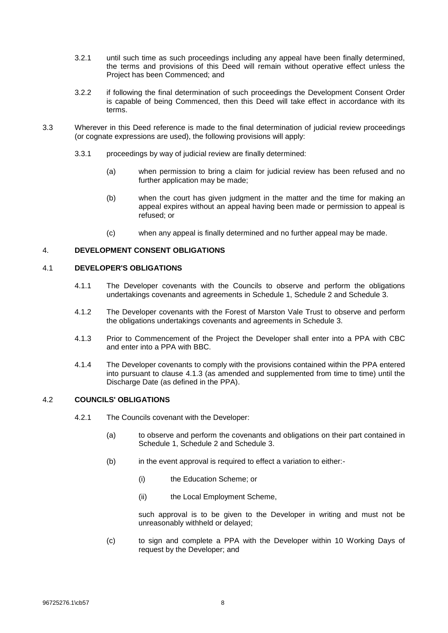- 3.2.1 until such time as such proceedings including any appeal have been finally determined, the terms and provisions of this Deed will remain without operative effect unless the Project has been Commenced; and
- 3.2.2 if following the final determination of such proceedings the Development Consent Order is capable of being Commenced, then this Deed will take effect in accordance with its terms.
- 3.3 Wherever in this Deed reference is made to the final determination of judicial review proceedings (or cognate expressions are used), the following provisions will apply:
	- 3.3.1 proceedings by way of judicial review are finally determined:
		- (a) when permission to bring a claim for judicial review has been refused and no further application may be made;
		- (b) when the court has given judgment in the matter and the time for making an appeal expires without an appeal having been made or permission to appeal is refused; or
		- (c) when any appeal is finally determined and no further appeal may be made.

# 4. **DEVELOPMENT CONSENT OBLIGATIONS**

## <span id="page-9-3"></span>4.1 **DEVELOPER'S OBLIGATIONS**

- 4.1.1 The Developer covenants with the Councils to observe and perform the obligations undertakings covenants and agreements in [Schedule](#page-14-0) 1, [Schedule](#page-15-0) 2 and [Schedule](#page-16-0) 3.
- <span id="page-9-4"></span>4.1.2 The Developer covenants with the Forest of Marston Vale Trust to observe and perform the obligations undertakings covenants and agreements in [Schedule](#page-16-0) 3.
- <span id="page-9-0"></span>4.1.3 Prior to Commencement of the Project the Developer shall enter into a PPA with CBC and enter into a PPA with BBC.
- <span id="page-9-1"></span>4.1.4 The Developer covenants to comply with the provisions contained within the PPA entered into pursuant to clause [4.1.3](#page-9-0) (as amended and supplemented from time to time) until the Discharge Date (as defined in the PPA).

# <span id="page-9-7"></span><span id="page-9-5"></span>4.2 **COUNCILS' OBLIGATIONS**

- <span id="page-9-6"></span>4.2.1 The Councils covenant with the Developer:
	- (a) to observe and perform the covenants and obligations on their part contained in [Schedule](#page-14-0) 1, [Schedule](#page-15-0) 2 and [Schedule](#page-16-0) 3.
	- (b) in the event approval is required to effect a variation to either:-
		- (i) the Education Scheme; or
		- (ii) the Local Employment Scheme,

such approval is to be given to the Developer in writing and must not be unreasonably withheld or delayed;

<span id="page-9-2"></span>(c) to sign and complete a PPA with the Developer within 10 Working Days of request by the Developer; and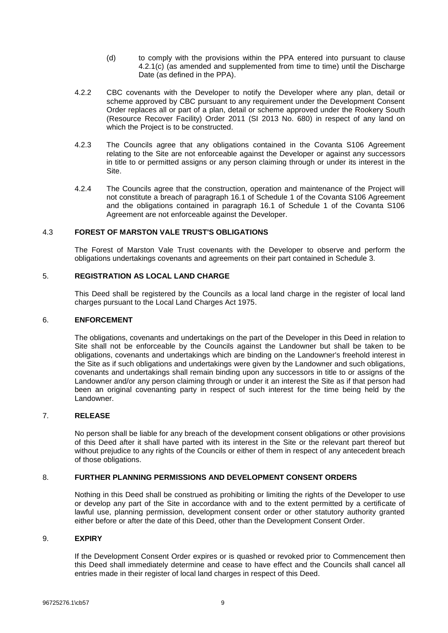- (d) to comply with the provisions within the PPA entered into pursuant to clause 4.2.[1\(c\)](#page-9-2) (as amended and supplemented from time to time) until the Discharge Date (as defined in the PPA).
- <span id="page-10-6"></span><span id="page-10-2"></span>4.2.2 CBC covenants with the Developer to notify the Developer where any plan, detail or scheme approved by CBC pursuant to any requirement under the Development Consent Order replaces all or part of a plan, detail or scheme approved under the Rookery South (Resource Recover Facility) Order 2011 (SI 2013 No. 680) in respect of any land on which the Project is to be constructed.
- <span id="page-10-8"></span>4.2.3 The Councils agree that any obligations contained in the Covanta S106 Agreement relating to the Site are not enforceable against the Developer or against any successors in title to or permitted assigns or any person claiming through or under its interest in the Site.
- <span id="page-10-9"></span>4.2.4 The Councils agree that the construction, operation and maintenance of the Project will not constitute a breach of paragraph 16.1 of Schedule 1 of the Covanta S106 Agreement and the obligations contained in paragraph 16.1 of Schedule 1 of the Covanta S106 Agreement are not enforceable against the Developer.

## <span id="page-10-7"></span>4.3 **FOREST OF MARSTON VALE TRUST'S OBLIGATIONS**

The Forest of Marston Vale Trust covenants with the Developer to observe and perform the obligations undertakings covenants and agreements on their part contained in [Schedule](#page-16-0) 3.

# <span id="page-10-3"></span>5. **REGISTRATION AS LOCAL LAND CHARGE**

This Deed shall be registered by the Councils as a local land charge in the register of local land charges pursuant to the Local Land Charges Act 1975.

## <span id="page-10-0"></span>6. **ENFORCEMENT**

The obligations, covenants and undertakings on the part of the Developer in this Deed in relation to Site shall not be enforceable by the Councils against the Landowner but shall be taken to be obligations, covenants and undertakings which are binding on the Landowner's freehold interest in the Site as if such obligations and undertakings were given by the Landowner and such obligations, covenants and undertakings shall remain binding upon any successors in title to or assigns of the Landowner and/or any person claiming through or under it an interest the Site as if that person had been an original covenanting party in respect of such interest for the time being held by the Landowner.

## <span id="page-10-1"></span>7. **RELEASE**

No person shall be liable for any breach of the development consent obligations or other provisions of this Deed after it shall have parted with its interest in the Site or the relevant part thereof but without prejudice to any rights of the Councils or either of them in respect of any antecedent breach of those obligations.

## <span id="page-10-4"></span>8. **FURTHER PLANNING PERMISSIONS AND DEVELOPMENT CONSENT ORDERS**

Nothing in this Deed shall be construed as prohibiting or limiting the rights of the Developer to use or develop any part of the Site in accordance with and to the extent permitted by a certificate of lawful use, planning permission, development consent order or other statutory authority granted either before or after the date of this Deed, other than the Development Consent Order.

## <span id="page-10-5"></span>9. **EXPIRY**

If the Development Consent Order expires or is quashed or revoked prior to Commencement then this Deed shall immediately determine and cease to have effect and the Councils shall cancel all entries made in their register of local land charges in respect of this Deed.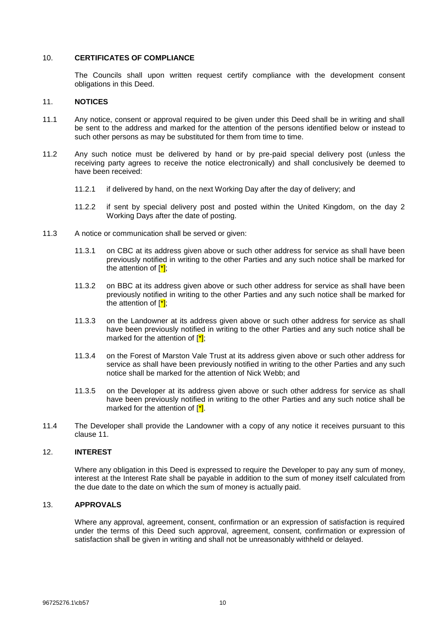#### <span id="page-11-0"></span>10. **CERTIFICATES OF COMPLIANCE**

The Councils shall upon written request certify compliance with the development consent obligations in this Deed.

#### <span id="page-11-1"></span>11. **NOTICES**

- 11.1 Any notice, consent or approval required to be given under this Deed shall be in writing and shall be sent to the address and marked for the attention of the persons identified below or instead to such other persons as may be substituted for them from time to time.
- 11.2 Any such notice must be delivered by hand or by pre-paid special delivery post (unless the receiving party agrees to receive the notice electronically) and shall conclusively be deemed to have been received:
	- 11.2.1 if delivered by hand, on the next Working Day after the day of delivery; and
	- 11.2.2 if sent by special delivery post and posted within the United Kingdom, on the day 2 Working Days after the date of posting.
- 11.3 A notice or communication shall be served or given:
	- 11.3.1 on CBC at its address given above or such other address for service as shall have been previously notified in writing to the other Parties and any such notice shall be marked for the attention of  $\left[\frac{1}{2}\right]$ ;
	- 11.3.2 on BBC at its address given above or such other address for service as shall have been previously notified in writing to the other Parties and any such notice shall be marked for the attention of  $\left[\frac{1}{2}\right]$ ;
	- 11.3.3 on the Landowner at its address given above or such other address for service as shall have been previously notified in writing to the other Parties and any such notice shall be marked for the attention of  $\left[\frac{\ast}{\cdot}\right]$ ;
	- 11.3.4 on the Forest of Marston Vale Trust at its address given above or such other address for service as shall have been previously notified in writing to the other Parties and any such notice shall be marked for the attention of Nick Webb; and
	- 11.3.5 on the Developer at its address given above or such other address for service as shall have been previously notified in writing to the other Parties and any such notice shall be marked for the attention of  $\left[\frac{\ast}{\cdot}\right]$ .
- 11.4 The Developer shall provide the Landowner with a copy of any notice it receives pursuant to this clause [11.](#page-11-1)

## <span id="page-11-2"></span>12. **INTEREST**

Where any obligation in this Deed is expressed to require the Developer to pay any sum of money, interest at the Interest Rate shall be payable in addition to the sum of money itself calculated from the due date to the date on which the sum of money is actually paid.

## <span id="page-11-3"></span>13. **APPROVALS**

Where any approval, agreement, consent, confirmation or an expression of satisfaction is required under the terms of this Deed such approval, agreement, consent, confirmation or expression of satisfaction shall be given in writing and shall not be unreasonably withheld or delayed.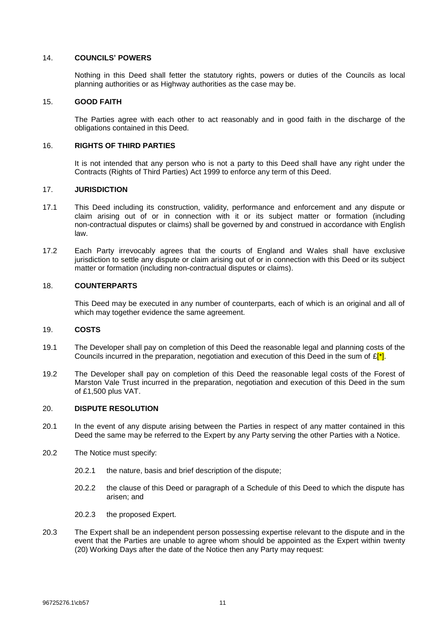#### <span id="page-12-1"></span>14. **COUNCILS' POWERS**

Nothing in this Deed shall fetter the statutory rights, powers or duties of the Councils as local planning authorities or as Highway authorities as the case may be.

## <span id="page-12-2"></span>15. **GOOD FAITH**

The Parties agree with each other to act reasonably and in good faith in the discharge of the obligations contained in this Deed.

## <span id="page-12-3"></span>16. **RIGHTS OF THIRD PARTIES**

It is not intended that any person who is not a party to this Deed shall have any right under the Contracts (Rights of Third Parties) Act 1999 to enforce any term of this Deed.

## <span id="page-12-4"></span>17. **JURISDICTION**

- 17.1 This Deed including its construction, validity, performance and enforcement and any dispute or claim arising out of or in connection with it or its subject matter or formation (including non-contractual disputes or claims) shall be governed by and construed in accordance with English law.
- 17.2 Each Party irrevocably agrees that the courts of England and Wales shall have exclusive jurisdiction to settle any dispute or claim arising out of or in connection with this Deed or its subject matter or formation (including non-contractual disputes or claims).

## <span id="page-12-5"></span>18. **COUNTERPARTS**

This Deed may be executed in any number of counterparts, each of which is an original and all of which may together evidence the same agreement.

#### <span id="page-12-6"></span>19. **COSTS**

- 19.1 The Developer shall pay on completion of this Deed the reasonable legal and planning costs of the Councils incurred in the preparation, negotiation and execution of this Deed in the sum of  $E[\cdot]$ .
- 19.2 The Developer shall pay on completion of this Deed the reasonable legal costs of the Forest of Marston Vale Trust incurred in the preparation, negotiation and execution of this Deed in the sum of £1,500 plus VAT.

#### <span id="page-12-0"></span>20. **DISPUTE RESOLUTION**

- 20.1 In the event of any dispute arising between the Parties in respect of any matter contained in this Deed the same may be referred to the Expert by any Party serving the other Parties with a Notice.
- 20.2 The Notice must specify:
	- 20.2.1 the nature, basis and brief description of the dispute;
	- 20.2.2 the clause of this Deed or paragraph of a Schedule of this Deed to which the dispute has arisen; and
	- 20.2.3 the proposed Expert.
- 20.3 The Expert shall be an independent person possessing expertise relevant to the dispute and in the event that the Parties are unable to agree whom should be appointed as the Expert within twenty (20) Working Days after the date of the Notice then any Party may request: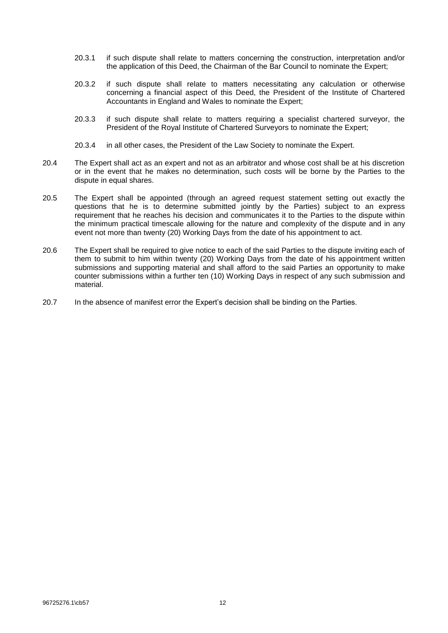- 20.3.1 if such dispute shall relate to matters concerning the construction, interpretation and/or the application of this Deed, the Chairman of the Bar Council to nominate the Expert;
- 20.3.2 if such dispute shall relate to matters necessitating any calculation or otherwise concerning a financial aspect of this Deed, the President of the Institute of Chartered Accountants in England and Wales to nominate the Expert;
- 20.3.3 if such dispute shall relate to matters requiring a specialist chartered surveyor, the President of the Royal Institute of Chartered Surveyors to nominate the Expert;
- 20.3.4 in all other cases, the President of the Law Society to nominate the Expert.
- 20.4 The Expert shall act as an expert and not as an arbitrator and whose cost shall be at his discretion or in the event that he makes no determination, such costs will be borne by the Parties to the dispute in equal shares.
- 20.5 The Expert shall be appointed (through an agreed request statement setting out exactly the questions that he is to determine submitted jointly by the Parties) subject to an express requirement that he reaches his decision and communicates it to the Parties to the dispute within the minimum practical timescale allowing for the nature and complexity of the dispute and in any event not more than twenty (20) Working Days from the date of his appointment to act.
- 20.6 The Expert shall be required to give notice to each of the said Parties to the dispute inviting each of them to submit to him within twenty (20) Working Days from the date of his appointment written submissions and supporting material and shall afford to the said Parties an opportunity to make counter submissions within a further ten (10) Working Days in respect of any such submission and material.
- 20.7 In the absence of manifest error the Expert's decision shall be binding on the Parties.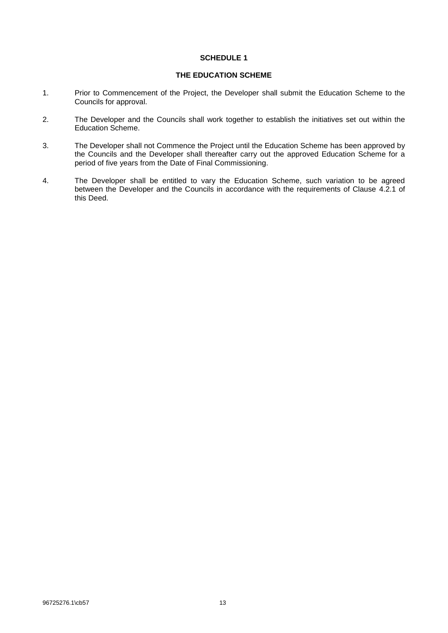## **THE EDUCATION SCHEME**

- <span id="page-14-0"></span>1. Prior to Commencement of the Project, the Developer shall submit the Education Scheme to the Councils for approval.
- 2. The Developer and the Councils shall work together to establish the initiatives set out within the Education Scheme.
- 3. The Developer shall not Commence the Project until the Education Scheme has been approved by the Councils and the Developer shall thereafter carry out the approved Education Scheme for a period of five years from the Date of Final Commissioning.
- 4. The Developer shall be entitled to vary the Education Scheme, such variation to be agreed between the Developer and the Councils in accordance with the requirements of Clause [4.2.1](#page-9-7) of this Deed.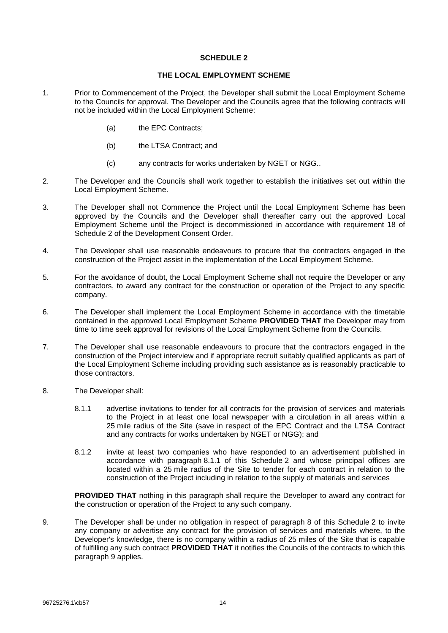## **THE LOCAL EMPLOYMENT SCHEME**

- <span id="page-15-0"></span>1. Prior to Commencement of the Project, the Developer shall submit the Local Employment Scheme to the Councils for approval. The Developer and the Councils agree that the following contracts will not be included within the Local Employment Scheme:
	- (a) the EPC Contracts;
	- (b) the LTSA Contract; and
	- (c) any contracts for works undertaken by NGET or NGG..
- 2. The Developer and the Councils shall work together to establish the initiatives set out within the Local Employment Scheme.
- 3. The Developer shall not Commence the Project until the Local Employment Scheme has been approved by the Councils and the Developer shall thereafter carry out the approved Local Employment Scheme until the Project is decommissioned in accordance with requirement 18 of Schedule 2 of the Development Consent Order.
- 4. The Developer shall use reasonable endeavours to procure that the contractors engaged in the construction of the Project assist in the implementation of the Local Employment Scheme.
- 5. For the avoidance of doubt, the Local Employment Scheme shall not require the Developer or any contractors, to award any contract for the construction or operation of the Project to any specific company.
- 6. The Developer shall implement the Local Employment Scheme in accordance with the timetable contained in the approved Local Employment Scheme **PROVIDED THAT** the Developer may from time to time seek approval for revisions of the Local Employment Scheme from the Councils.
- 7. The Developer shall use reasonable endeavours to procure that the contractors engaged in the construction of the Project interview and if appropriate recruit suitably qualified applicants as part of the Local Employment Scheme including providing such assistance as is reasonably practicable to those contractors.
- <span id="page-15-2"></span><span id="page-15-1"></span>8. The Developer shall:
	- 8.1.1 advertise invitations to tender for all contracts for the provision of services and materials to the Project in at least one local newspaper with a circulation in all areas within a 25 mile radius of the Site (save in respect of the EPC Contract and the LTSA Contract and any contracts for works undertaken by NGET or NGG); and
	- 8.1.2 invite at least two companies who have responded to an advertisement published in accordance with paragraph [8.1.1](#page-15-1) of this [Schedule](#page-15-0) 2 and whose principal offices are located within a 25 mile radius of the Site to tender for each contract in relation to the construction of the Project including in relation to the supply of materials and services

**PROVIDED THAT** nothing in this paragraph shall require the Developer to award any contract for the construction or operation of the Project to any such company.

<span id="page-15-3"></span>9. The Developer shall be under no obligation in respect of paragraph [8](#page-15-2) of this [Schedule](#page-15-0) 2 to invite any company or advertise any contract for the provision of services and materials where, to the Developer's knowledge, there is no company within a radius of 25 miles of the Site that is capable of fulfilling any such contract **PROVIDED THAT** it notifies the Councils of the contracts to which this paragraph [9](#page-15-3) applies.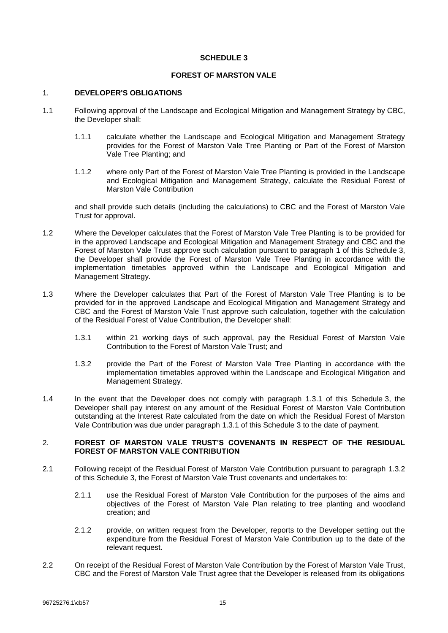## **FOREST OF MARSTON VALE**

#### <span id="page-16-1"></span><span id="page-16-0"></span>1. **DEVELOPER'S OBLIGATIONS**

- 1.1 Following approval of the Landscape and Ecological Mitigation and Management Strategy by CBC, the Developer shall:
	- 1.1.1 calculate whether the Landscape and Ecological Mitigation and Management Strategy provides for the Forest of Marston Vale Tree Planting or Part of the Forest of Marston Vale Tree Planting; and
	- 1.1.2 where only Part of the Forest of Marston Vale Tree Planting is provided in the Landscape and Ecological Mitigation and Management Strategy, calculate the Residual Forest of Marston Vale Contribution

and shall provide such details (including the calculations) to CBC and the Forest of Marston Vale Trust for approval.

- 1.2 Where the Developer calculates that the Forest of Marston Vale Tree Planting is to be provided for in the approved Landscape and Ecological Mitigation and Management Strategy and CBC and the Forest of Marston Vale Trust approve such calculation pursuant to paragraph [1](#page-16-1) of this [Schedule](#page-16-0) 3, the Developer shall provide the Forest of Marston Vale Tree Planting in accordance with the implementation timetables approved within the Landscape and Ecological Mitigation and Management Strategy.
- <span id="page-16-2"></span>1.3 Where the Developer calculates that Part of the Forest of Marston Vale Tree Planting is to be provided for in the approved Landscape and Ecological Mitigation and Management Strategy and CBC and the Forest of Marston Vale Trust approve such calculation, together with the calculation of the Residual Forest of Value Contribution, the Developer shall:
	- 1.3.1 within 21 working days of such approval, pay the Residual Forest of Marston Vale Contribution to the Forest of Marston Vale Trust; and
	- 1.3.2 provide the Part of the Forest of Marston Vale Tree Planting in accordance with the implementation timetables approved within the Landscape and Ecological Mitigation and Management Strategy.
- <span id="page-16-3"></span>1.4 In the event that the Developer does not comply with paragraph [1.3.1](#page-16-2) of this [Schedule](#page-16-0) 3, the Developer shall pay interest on any amount of the Residual Forest of Marston Vale Contribution outstanding at the Interest Rate calculated from the date on which the Residual Forest of Marston Vale Contribution was due under paragraph [1.3.1](#page-16-2) of this [Schedule](#page-16-0) 3 to the date of payment.

## 2. **FOREST OF MARSTON VALE TRUST'S COVENANTS IN RESPECT OF THE RESIDUAL FOREST OF MARSTON VALE CONTRIBUTION**

- 2.1 Following receipt of the Residual Forest of Marston Vale Contribution pursuant to paragraph [1.3.2](#page-16-3) of this [Schedule](#page-16-0) 3, the Forest of Marston Vale Trust covenants and undertakes to:
	- 2.1.1 use the Residual Forest of Marston Vale Contribution for the purposes of the aims and objectives of the Forest of Marston Vale Plan relating to tree planting and woodland creation; and
	- 2.1.2 provide, on written request from the Developer, reports to the Developer setting out the expenditure from the Residual Forest of Marston Vale Contribution up to the date of the relevant request.
- 2.2 On receipt of the Residual Forest of Marston Vale Contribution by the Forest of Marston Vale Trust, CBC and the Forest of Marston Vale Trust agree that the Developer is released from its obligations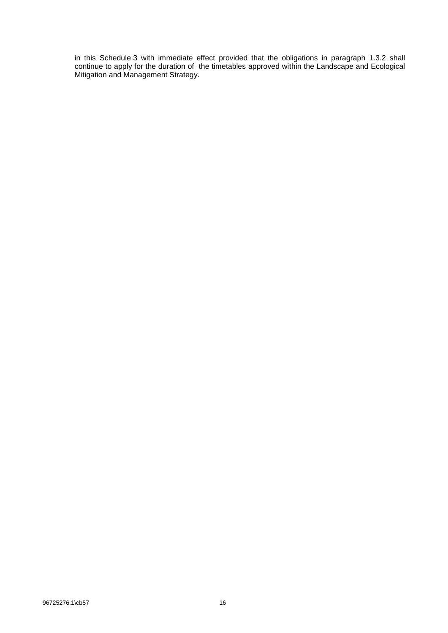in this [Schedule](#page-16-0) 3 with immediate effect provided that the obligations in paragraph [1.3.2](#page-16-3) shall continue to apply for the duration of the timetables approved within the Landscape and Ecological Mitigation and Management Strategy.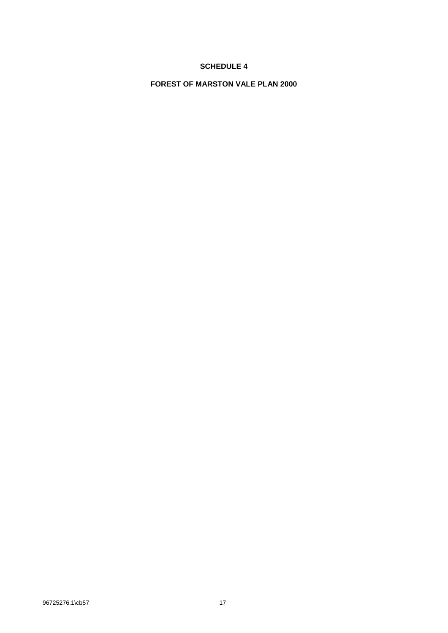<span id="page-18-0"></span>**FOREST OF MARSTON VALE PLAN 2000**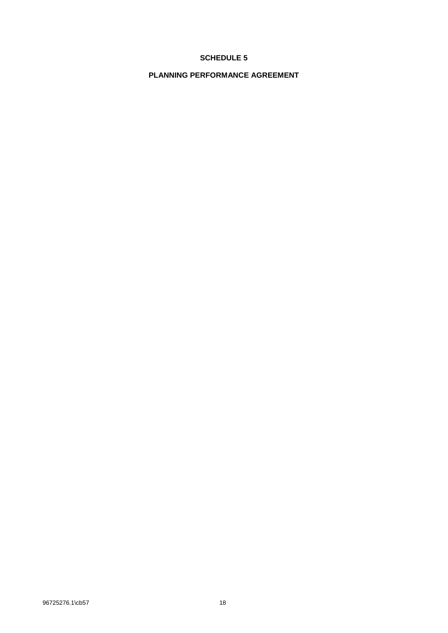<span id="page-19-0"></span>**PLANNING PERFORMANCE AGREEMENT**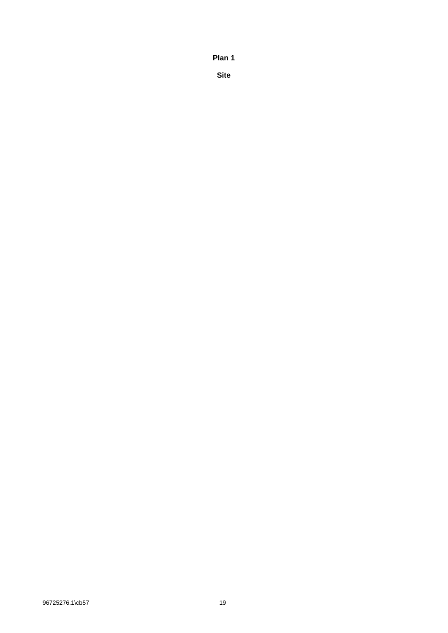**Plan 1**

**Site**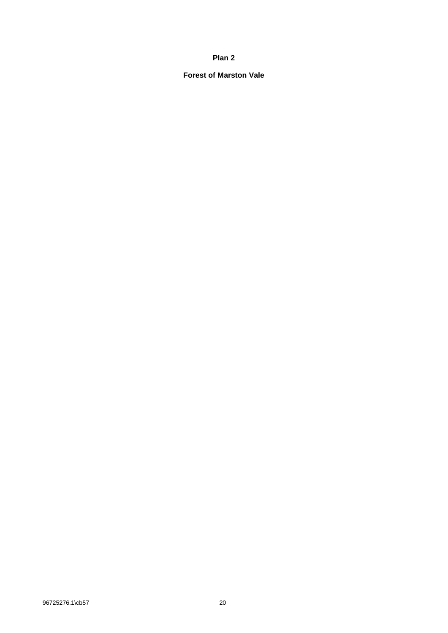## **Plan 2**

# **Forest of Marston Vale**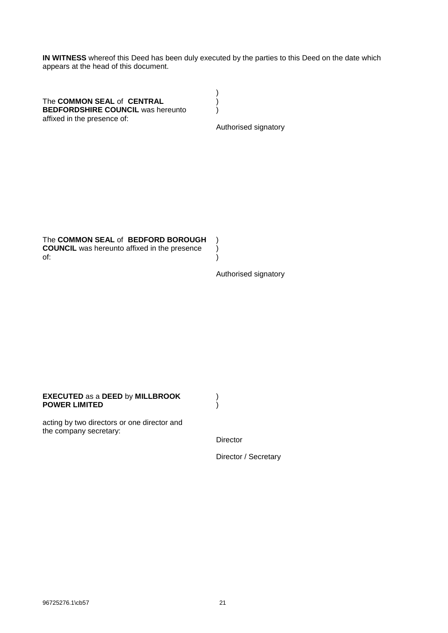**IN WITNESS** whereof this Deed has been duly executed by the parties to this Deed on the date which appears at the head of this document.

> ) ) )

The **COMMON SEAL** of **CENTRAL BEDFORDSHIRE COUNCIL** was hereunto affixed in the presence of: ) ) )

Authorised signatory

The **COMMON SEAL** of **BEDFORD BOROUGH COUNCIL** was hereunto affixed in the presence of:

Authorised signatory

#### **EXECUTED** as a **DEED** by **MILLBROOK POWER LIMITED**

acting by two directors or one director and the company secretary:

Director

) )

Director / Secretary